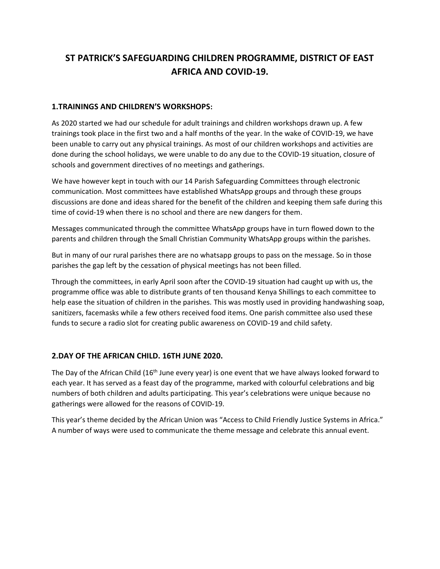## **ST PATRICK'S SAFEGUARDING CHILDREN PROGRAMME, DISTRICT OF EAST AFRICA AND COVID-19.**

## **1.TRAININGS AND CHILDREN'S WORKSHOPS:**

As 2020 started we had our schedule for adult trainings and children workshops drawn up. A few trainings took place in the first two and a half months of the year. In the wake of COVID-19, we have been unable to carry out any physical trainings. As most of our children workshops and activities are done during the school holidays, we were unable to do any due to the COVID-19 situation, closure of schools and government directives of no meetings and gatherings.

We have however kept in touch with our 14 Parish Safeguarding Committees through electronic communication. Most committees have established WhatsApp groups and through these groups discussions are done and ideas shared for the benefit of the children and keeping them safe during this time of covid-19 when there is no school and there are new dangers for them.

Messages communicated through the committee WhatsApp groups have in turn flowed down to the parents and children through the Small Christian Community WhatsApp groups within the parishes.

But in many of our rural parishes there are no whatsapp groups to pass on the message. So in those parishes the gap left by the cessation of physical meetings has not been filled.

Through the committees, in early April soon after the COVID-19 situation had caught up with us, the programme office was able to distribute grants of ten thousand Kenya Shillings to each committee to help ease the situation of children in the parishes. This was mostly used in providing handwashing soap, sanitizers, facemasks while a few others received food items. One parish committee also used these funds to secure a radio slot for creating public awareness on COVID-19 and child safety.

## **2.DAY OF THE AFRICAN CHILD. 16TH JUNE 2020.**

The Day of the African Child (16<sup>th</sup> June every year) is one event that we have always looked forward to each year. It has served as a feast day of the programme, marked with colourful celebrations and big numbers of both children and adults participating. This year's celebrations were unique because no gatherings were allowed for the reasons of COVID-19.

This year's theme decided by the African Union was "Access to Child Friendly Justice Systems in Africa." A number of ways were used to communicate the theme message and celebrate this annual event.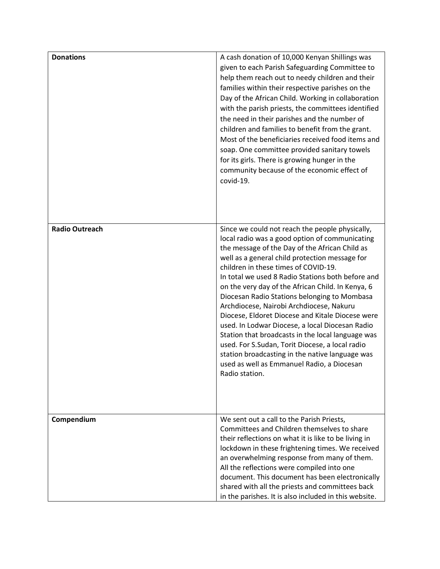| <b>Donations</b>      | A cash donation of 10,000 Kenyan Shillings was<br>given to each Parish Safeguarding Committee to<br>help them reach out to needy children and their<br>families within their respective parishes on the<br>Day of the African Child. Working in collaboration<br>with the parish priests, the committees identified<br>the need in their parishes and the number of<br>children and families to benefit from the grant.<br>Most of the beneficiaries received food items and<br>soap. One committee provided sanitary towels<br>for its girls. There is growing hunger in the<br>community because of the economic effect of<br>covid-19.                                                                                                                                             |
|-----------------------|---------------------------------------------------------------------------------------------------------------------------------------------------------------------------------------------------------------------------------------------------------------------------------------------------------------------------------------------------------------------------------------------------------------------------------------------------------------------------------------------------------------------------------------------------------------------------------------------------------------------------------------------------------------------------------------------------------------------------------------------------------------------------------------|
| <b>Radio Outreach</b> | Since we could not reach the people physically,<br>local radio was a good option of communicating<br>the message of the Day of the African Child as<br>well as a general child protection message for<br>children in these times of COVID-19.<br>In total we used 8 Radio Stations both before and<br>on the very day of the African Child. In Kenya, 6<br>Diocesan Radio Stations belonging to Mombasa<br>Archdiocese, Nairobi Archdiocese, Nakuru<br>Diocese, Eldoret Diocese and Kitale Diocese were<br>used. In Lodwar Diocese, a local Diocesan Radio<br>Station that broadcasts in the local language was<br>used. For S.Sudan, Torit Diocese, a local radio<br>station broadcasting in the native language was<br>used as well as Emmanuel Radio, a Diocesan<br>Radio station. |
| Compendium            | We sent out a call to the Parish Priests,<br>Committees and Children themselves to share<br>their reflections on what it is like to be living in<br>lockdown in these frightening times. We received<br>an overwhelming response from many of them.<br>All the reflections were compiled into one<br>document. This document has been electronically<br>shared with all the priests and committees back<br>in the parishes. It is also included in this website.                                                                                                                                                                                                                                                                                                                      |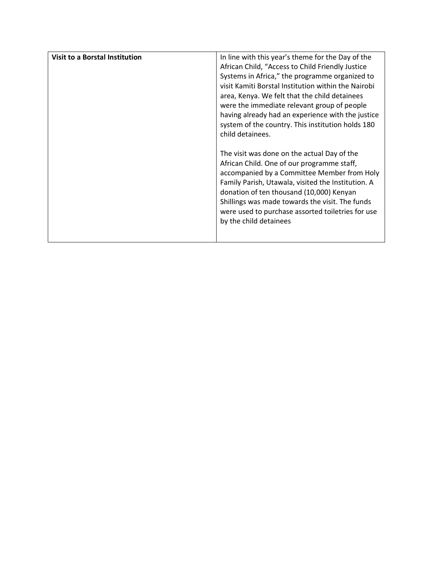| <b>Visit to a Borstal Institution</b> | In line with this year's theme for the Day of the<br>African Child, "Access to Child Friendly Justice<br>Systems in Africa," the programme organized to<br>visit Kamiti Borstal Institution within the Nairobi<br>area, Kenya. We felt that the child detainees<br>were the immediate relevant group of people<br>having already had an experience with the justice<br>system of the country. This institution holds 180<br>child detainees. |
|---------------------------------------|----------------------------------------------------------------------------------------------------------------------------------------------------------------------------------------------------------------------------------------------------------------------------------------------------------------------------------------------------------------------------------------------------------------------------------------------|
|                                       | The visit was done on the actual Day of the<br>African Child. One of our programme staff,<br>accompanied by a Committee Member from Holy<br>Family Parish, Utawala, visited the Institution. A<br>donation of ten thousand (10,000) Kenyan<br>Shillings was made towards the visit. The funds<br>were used to purchase assorted toiletries for use<br>by the child detainees                                                                 |